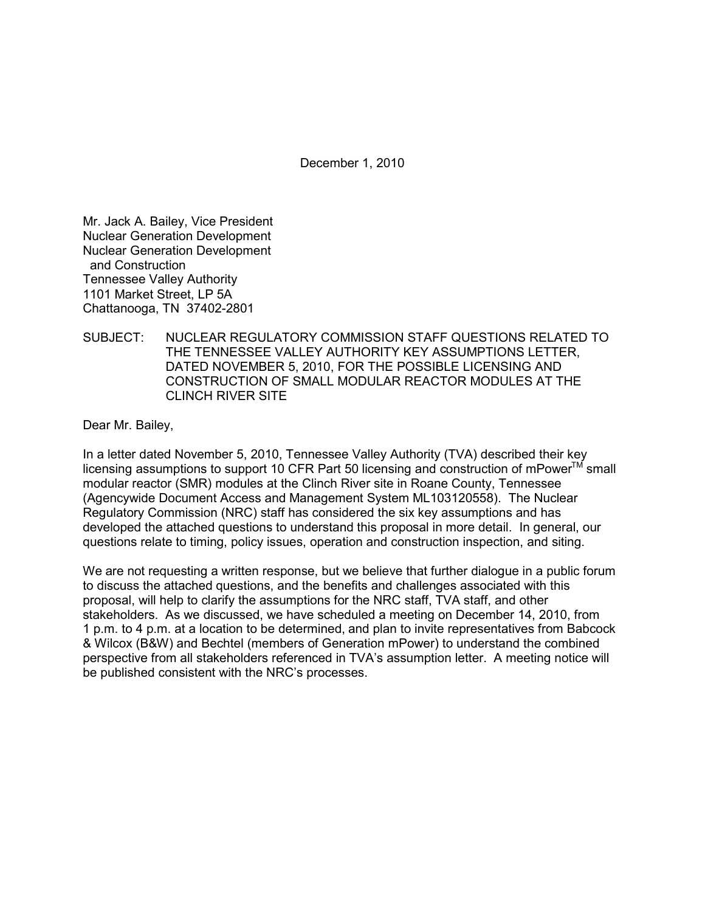December 1, 2010

Mr. Jack A. Bailey, Vice President Nuclear Generation Development Nuclear Generation Development and Construction Tennessee Valley Authority 1101 Market Street, LP 5A Chattanooga, TN 37402-2801

SUBJECT: NUCLEAR REGULATORY COMMISSION STAFF QUESTIONS RELATED TO THE TENNESSEE VALLEY AUTHORITY KEY ASSUMPTIONS LETTER, DATED NOVEMBER 5, 2010, FOR THE POSSIBLE LICENSING AND CONSTRUCTION OF SMALL MODULAR REACTOR MODULES AT THE CLINCH RIVER SITE

Dear Mr. Bailey,

In a letter dated November 5, 2010, Tennessee Valley Authority (TVA) described their key licensing assumptions to support 10 CFR Part 50 licensing and construction of mPower™ small modular reactor (SMR) modules at the Clinch River site in Roane County, Tennessee (Agencywide Document Access and Management System ML103120558). The Nuclear Regulatory Commission (NRC) staff has considered the six key assumptions and has developed the attached questions to understand this proposal in more detail. In general, our questions relate to timing, policy issues, operation and construction inspection, and siting.

We are not requesting a written response, but we believe that further dialogue in a public forum to discuss the attached questions, and the benefits and challenges associated with this proposal, will help to clarify the assumptions for the NRC staff, TVA staff, and other stakeholders. As we discussed, we have scheduled a meeting on December 14, 2010, from 1 p.m. to 4 p.m. at a location to be determined, and plan to invite representatives from Babcock & Wilcox (B&W) and Bechtel (members of Generation mPower) to understand the combined perspective from all stakeholders referenced in TVA's assumption letter. A meeting notice will be published consistent with the NRC's processes.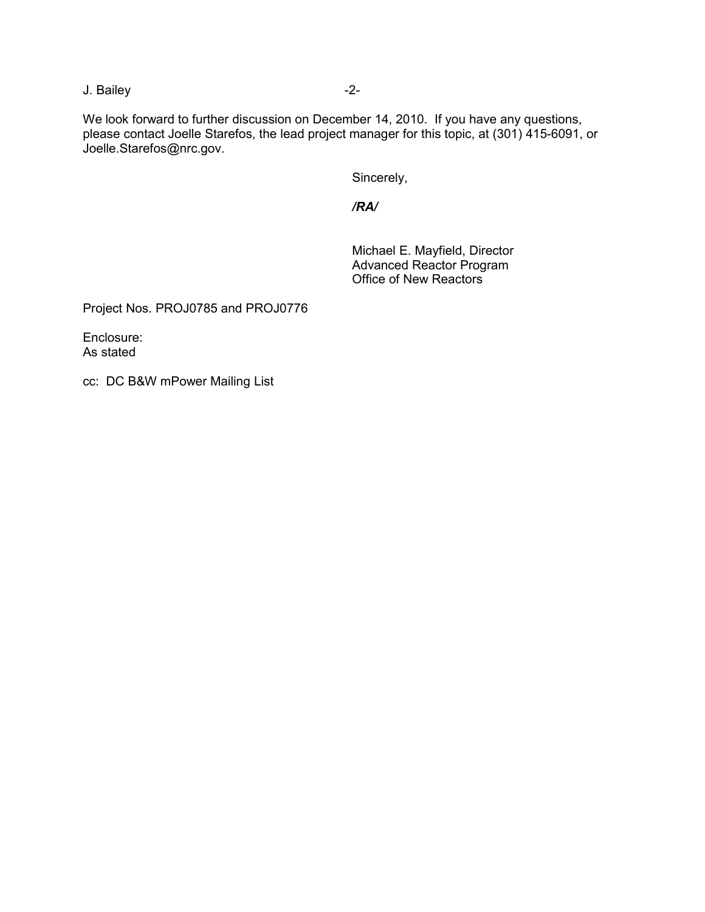J. Bailey -2-

We look forward to further discussion on December 14, 2010. If you have any questions, please contact Joelle Starefos, the lead project manager for this topic, at (301) 415-6091, or Joelle.Starefos@nrc.gov.

Sincerely,

*/RA/* 

 Michael E. Mayfield, Director Advanced Reactor Program Office of New Reactors

Project Nos. PROJ0785 and PROJ0776

Enclosure: As stated

cc: DC B&W mPower Mailing List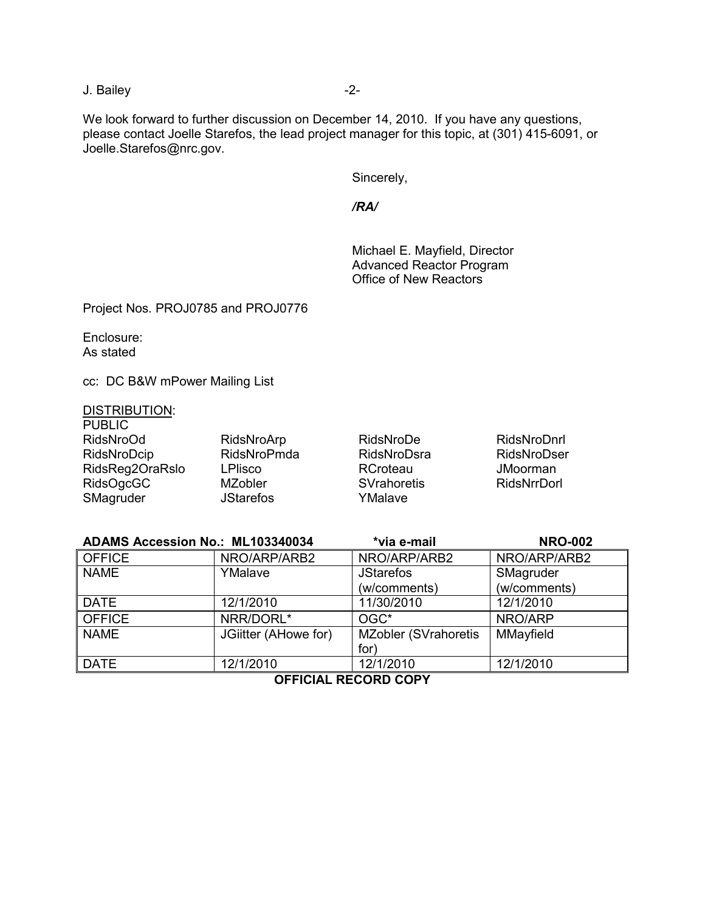J. Bailey -2-

We look forward to further discussion on December 14, 2010. If you have any questions, please contact Joelle Starefos, the lead project manager for this topic, at (301) 415-6091, or Joelle.Starefos@nrc.gov.

Sincerely,

*/RA/* 

 Michael E. Mayfield, Director Advanced Reactor Program Office of New Reactors

Project Nos. PROJ0785 and PROJ0776

Enclosure: As stated

cc: DC B&W mPower Mailing List

#### DISTRIBUTION: PUBLIC<sub></sub>

| F UDLIV         |                  |             |                    |
|-----------------|------------------|-------------|--------------------|
| RidsNroOd       | RidsNroArp       | RidsNroDe   | RidsNroDnrl        |
| RidsNroDcip     | RidsNroPmda      | RidsNroDsra | RidsNroDser        |
| RidsReg2OraRslo | <b>LPlisco</b>   | RCroteau    | JMoorman           |
| RidsOgcGC       | MZobler          | SVrahoretis | <b>RidsNrrDorl</b> |
| SMagruder       | <b>JStarefos</b> | YMalave     |                    |

| ADAMS Accession No.: ML103340034 |                      | *via e-mail                  | <b>NRO-002</b> |
|----------------------------------|----------------------|------------------------------|----------------|
| <b>OFFICE</b>                    | NRO/ARP/ARB2         | NRO/ARP/ARB2                 | NRO/ARP/ARB2   |
| <b>NAME</b>                      | YMalave              | <b>JStarefos</b>             | SMagruder      |
|                                  |                      | (w/comments)                 | (w/comments)   |
| <b>DATE</b>                      | 12/1/2010            | 11/30/2010                   | 12/1/2010      |
| <b>OFFICE</b>                    | NRR/DORL*            | OGC*                         | NRO/ARP        |
| <b>NAME</b>                      | JGiitter (AHowe for) | <b>MZobler (SVrahoretis)</b> | MMayfield      |
|                                  |                      | for)                         |                |
| <b>DATE</b>                      | 12/1/2010            | 12/1/2010                    | 12/1/2010      |

**OFFICIAL RECORD COPY**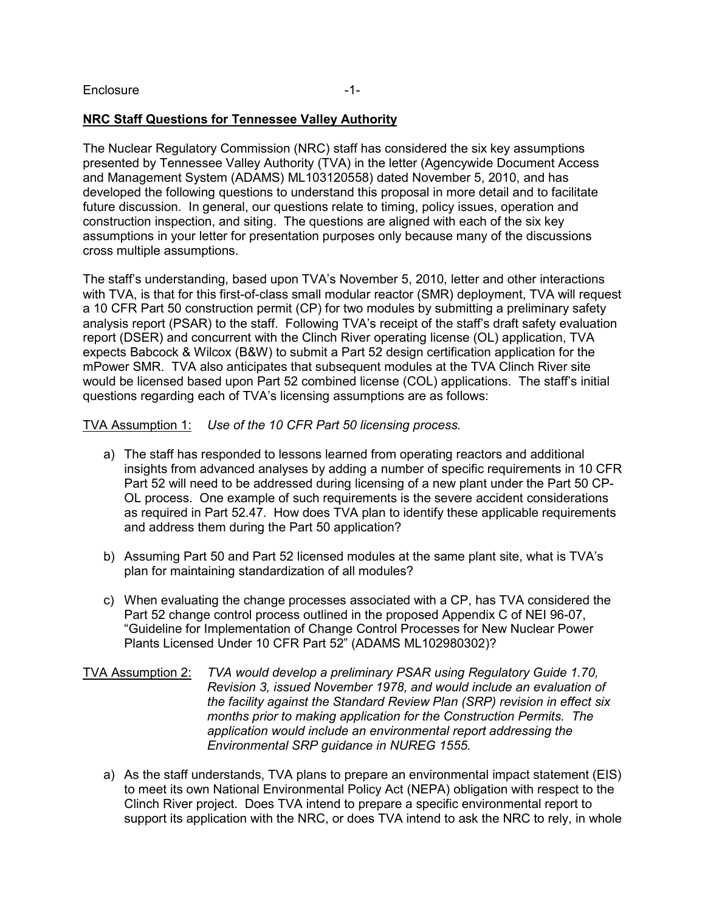# **NRC Staff Questions for Tennessee Valley Authority**

The Nuclear Regulatory Commission (NRC) staff has considered the six key assumptions presented by Tennessee Valley Authority (TVA) in the letter (Agencywide Document Access and Management System (ADAMS) ML103120558) dated November 5, 2010, and has developed the following questions to understand this proposal in more detail and to facilitate future discussion. In general, our questions relate to timing, policy issues, operation and construction inspection, and siting. The questions are aligned with each of the six key assumptions in your letter for presentation purposes only because many of the discussions cross multiple assumptions.

The staff's understanding, based upon TVA's November 5, 2010, letter and other interactions with TVA, is that for this first-of-class small modular reactor (SMR) deployment, TVA will request a 10 CFR Part 50 construction permit (CP) for two modules by submitting a preliminary safety analysis report (PSAR) to the staff. Following TVA's receipt of the staff's draft safety evaluation report (DSER) and concurrent with the Clinch River operating license (OL) application, TVA expects Babcock & Wilcox (B&W) to submit a Part 52 design certification application for the mPower SMR. TVA also anticipates that subsequent modules at the TVA Clinch River site would be licensed based upon Part 52 combined license (COL) applications. The staff's initial questions regarding each of TVA's licensing assumptions are as follows:

TVA Assumption 1: *Use of the 10 CFR Part 50 licensing process.*

- a) The staff has responded to lessons learned from operating reactors and additional insights from advanced analyses by adding a number of specific requirements in 10 CFR Part 52 will need to be addressed during licensing of a new plant under the Part 50 CP-OL process. One example of such requirements is the severe accident considerations as required in Part 52.47. How does TVA plan to identify these applicable requirements and address them during the Part 50 application?
- b) Assuming Part 50 and Part 52 licensed modules at the same plant site, what is TVA's plan for maintaining standardization of all modules?
- c) When evaluating the change processes associated with a CP, has TVA considered the Part 52 change control process outlined in the proposed Appendix C of NEI 96-07, "Guideline for Implementation of Change Control Processes for New Nuclear Power Plants Licensed Under 10 CFR Part 52" (ADAMS ML102980302)?
- TVA Assumption 2: *TVA would develop a preliminary PSAR using Regulatory Guide 1.70, Revision 3, issued November 1978, and would include an evaluation of the facility against the Standard Review Plan (SRP) revision in effect six months prior to making application for the Construction Permits. The application would include an environmental report addressing the Environmental SRP guidance in NUREG 1555.*
	- a) As the staff understands, TVA plans to prepare an environmental impact statement (EIS) to meet its own National Environmental Policy Act (NEPA) obligation with respect to the Clinch River project. Does TVA intend to prepare a specific environmental report to support its application with the NRC, or does TVA intend to ask the NRC to rely, in whole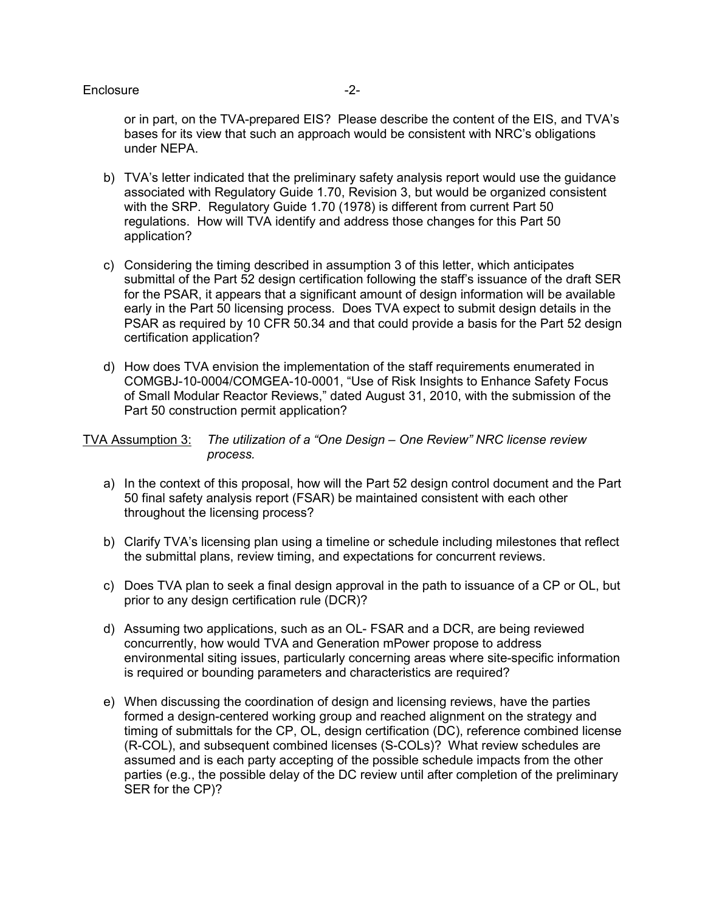## Enclosure -2-

or in part, on the TVA-prepared EIS? Please describe the content of the EIS, and TVA's bases for its view that such an approach would be consistent with NRC's obligations under NEPA.

- b) TVA's letter indicated that the preliminary safety analysis report would use the guidance associated with Regulatory Guide 1.70, Revision 3, but would be organized consistent with the SRP. Regulatory Guide 1.70 (1978) is different from current Part 50 regulations. How will TVA identify and address those changes for this Part 50 application?
- c) Considering the timing described in assumption 3 of this letter, which anticipates submittal of the Part 52 design certification following the staff's issuance of the draft SER for the PSAR, it appears that a significant amount of design information will be available early in the Part 50 licensing process. Does TVA expect to submit design details in the PSAR as required by 10 CFR 50.34 and that could provide a basis for the Part 52 design certification application?
- d) How does TVA envision the implementation of the staff requirements enumerated in COMGBJ-10-0004/COMGEA-10-0001, "Use of Risk Insights to Enhance Safety Focus of Small Modular Reactor Reviews," dated August 31, 2010, with the submission of the Part 50 construction permit application?

TVA Assumption 3: *The utilization of a "One Design – One Review" NRC license review process.*

- a) In the context of this proposal, how will the Part 52 design control document and the Part 50 final safety analysis report (FSAR) be maintained consistent with each other throughout the licensing process?
- b) Clarify TVA's licensing plan using a timeline or schedule including milestones that reflect the submittal plans, review timing, and expectations for concurrent reviews.
- c) Does TVA plan to seek a final design approval in the path to issuance of a CP or OL, but prior to any design certification rule (DCR)?
- d) Assuming two applications, such as an OL- FSAR and a DCR, are being reviewed concurrently, how would TVA and Generation mPower propose to address environmental siting issues, particularly concerning areas where site-specific information is required or bounding parameters and characteristics are required?
- e) When discussing the coordination of design and licensing reviews, have the parties formed a design-centered working group and reached alignment on the strategy and timing of submittals for the CP, OL, design certification (DC), reference combined license (R-COL), and subsequent combined licenses (S-COLs)? What review schedules are assumed and is each party accepting of the possible schedule impacts from the other parties (e.g., the possible delay of the DC review until after completion of the preliminary SER for the CP)?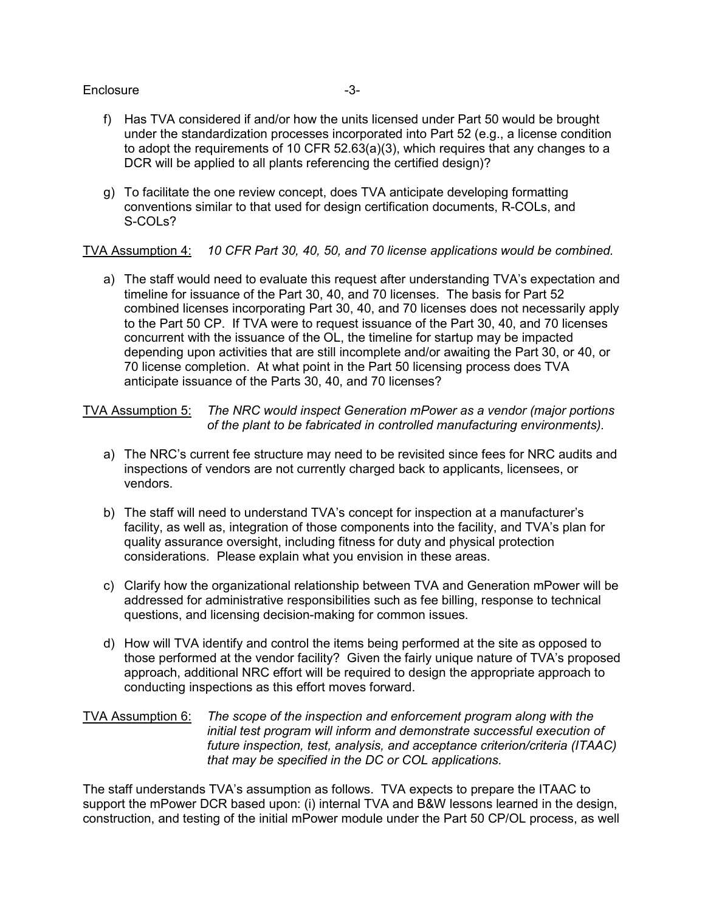### Enclosure -3-

- f) Has TVA considered if and/or how the units licensed under Part 50 would be brought under the standardization processes incorporated into Part 52 (e.g., a license condition to adopt the requirements of 10 CFR 52.63(a)(3), which requires that any changes to a DCR will be applied to all plants referencing the certified design)?
- g) To facilitate the one review concept, does TVA anticipate developing formatting conventions similar to that used for design certification documents, R-COLs, and S-COLs?

TVA Assumption 4: *10 CFR Part 30, 40, 50, and 70 license applications would be combined.*

a) The staff would need to evaluate this request after understanding TVA's expectation and timeline for issuance of the Part 30, 40, and 70 licenses. The basis for Part 52 combined licenses incorporating Part 30, 40, and 70 licenses does not necessarily apply to the Part 50 CP. If TVA were to request issuance of the Part 30, 40, and 70 licenses concurrent with the issuance of the OL, the timeline for startup may be impacted depending upon activities that are still incomplete and/or awaiting the Part 30, or 40, or 70 license completion. At what point in the Part 50 licensing process does TVA anticipate issuance of the Parts 30, 40, and 70 licenses?

TVA Assumption 5: *The NRC would inspect Generation mPower as a vendor (major portions of the plant to be fabricated in controlled manufacturing environments).* 

- a) The NRC's current fee structure may need to be revisited since fees for NRC audits and inspections of vendors are not currently charged back to applicants, licensees, or vendors.
- b) The staff will need to understand TVA's concept for inspection at a manufacturer's facility, as well as, integration of those components into the facility, and TVA's plan for quality assurance oversight, including fitness for duty and physical protection considerations. Please explain what you envision in these areas.
- c) Clarify how the organizational relationship between TVA and Generation mPower will be addressed for administrative responsibilities such as fee billing, response to technical questions, and licensing decision-making for common issues.
- d) How will TVA identify and control the items being performed at the site as opposed to those performed at the vendor facility? Given the fairly unique nature of TVA's proposed approach, additional NRC effort will be required to design the appropriate approach to conducting inspections as this effort moves forward.

## TVA Assumption 6: *The scope of the inspection and enforcement program along with the initial test program will inform and demonstrate successful execution of future inspection, test, analysis, and acceptance criterion/criteria (ITAAC) that may be specified in the DC or COL applications.*

The staff understands TVA's assumption as follows. TVA expects to prepare the ITAAC to support the mPower DCR based upon: (i) internal TVA and B&W lessons learned in the design, construction, and testing of the initial mPower module under the Part 50 CP/OL process, as well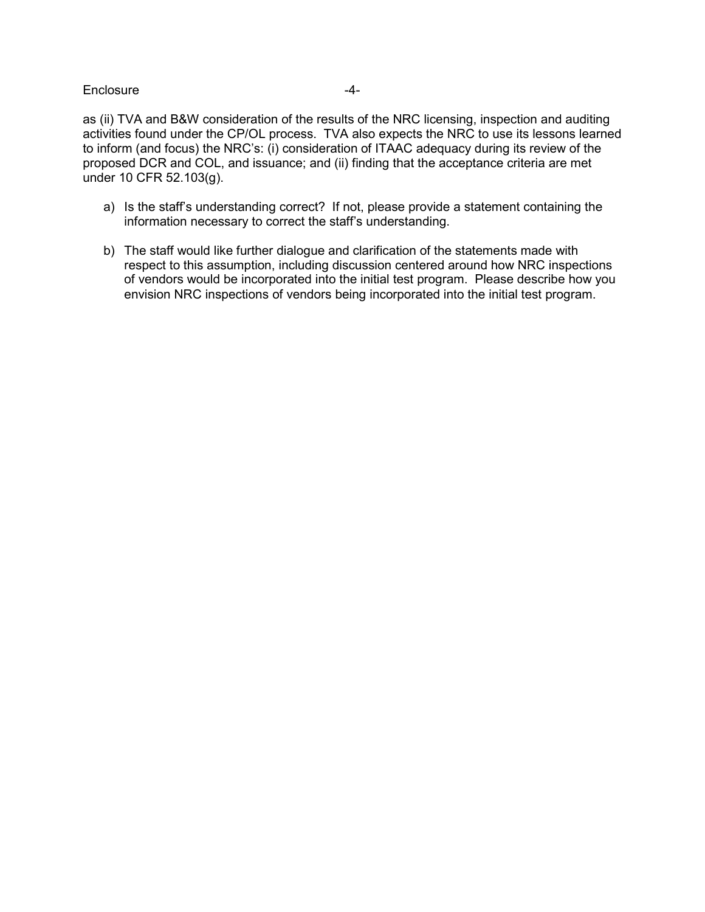## Enclosure -4-

as (ii) TVA and B&W consideration of the results of the NRC licensing, inspection and auditing activities found under the CP/OL process. TVA also expects the NRC to use its lessons learned to inform (and focus) the NRC's: (i) consideration of ITAAC adequacy during its review of the proposed DCR and COL, and issuance; and (ii) finding that the acceptance criteria are met under 10 CFR 52.103(g).

- a) Is the staff's understanding correct? If not, please provide a statement containing the information necessary to correct the staff's understanding.
- b) The staff would like further dialogue and clarification of the statements made with respect to this assumption, including discussion centered around how NRC inspections of vendors would be incorporated into the initial test program. Please describe how you envision NRC inspections of vendors being incorporated into the initial test program.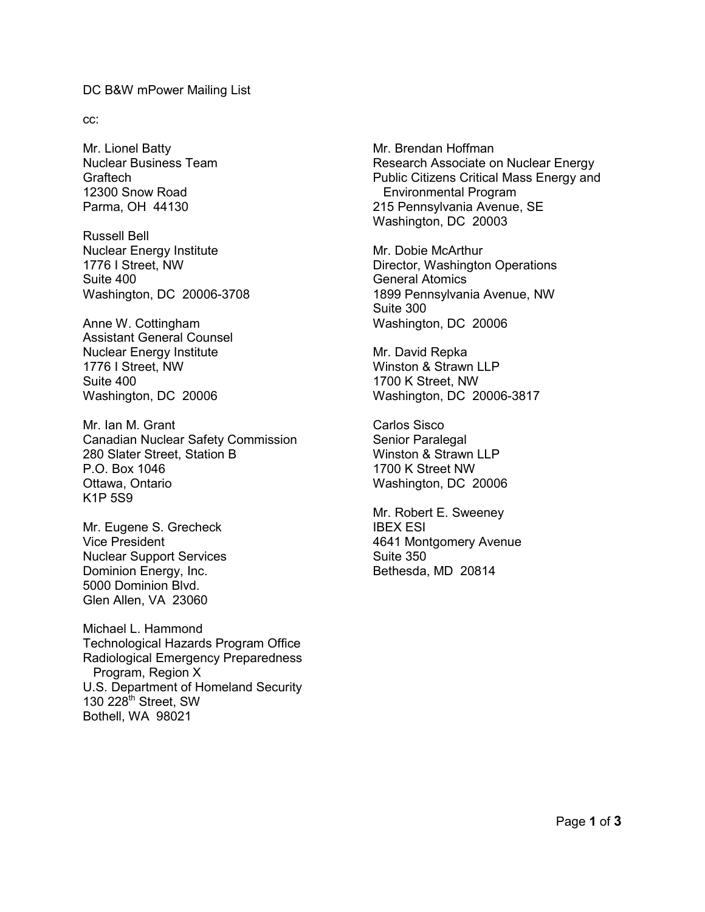#### DC B&W mPower Mailing List

cc:

Mr. Lionel Batty Nuclear Business Team **Graftech** 12300 Snow Road Parma, OH 44130

Russell Bell Nuclear Energy Institute 1776 I Street, NW Suite 400 Washington, DC 20006-3708

Anne W. Cottingham Assistant General Counsel Nuclear Energy Institute 1776 I Street, NW Suite 400 Washington, DC 20006

Mr. Ian M. Grant Canadian Nuclear Safety Commission 280 Slater Street, Station B P.O. Box 1046 Ottawa, Ontario K1P 5S9

Mr. Eugene S. Grecheck Vice President Nuclear Support Services Dominion Energy, Inc. 5000 Dominion Blvd. Glen Allen, VA 23060

Michael L. Hammond Technological Hazards Program Office Radiological Emergency Preparedness Program, Region X U.S. Department of Homeland Security 130  $228<sup>th</sup>$  Street, SW Bothell, WA 98021

Mr. Brendan Hoffman Research Associate on Nuclear Energy Public Citizens Critical Mass Energy and Environmental Program 215 Pennsylvania Avenue, SE Washington, DC 20003

Mr. Dobie McArthur Director, Washington Operations General Atomics 1899 Pennsylvania Avenue, NW Suite 300 Washington, DC 20006

Mr. David Repka Winston & Strawn LLP 1700 K Street, NW Washington, DC 20006-3817

Carlos Sisco Senior Paralegal Winston & Strawn LLP 1700 K Street NW Washington, DC 20006

Mr. Robert E. Sweeney IBEX ESI 4641 Montgomery Avenue Suite 350 Bethesda, MD 20814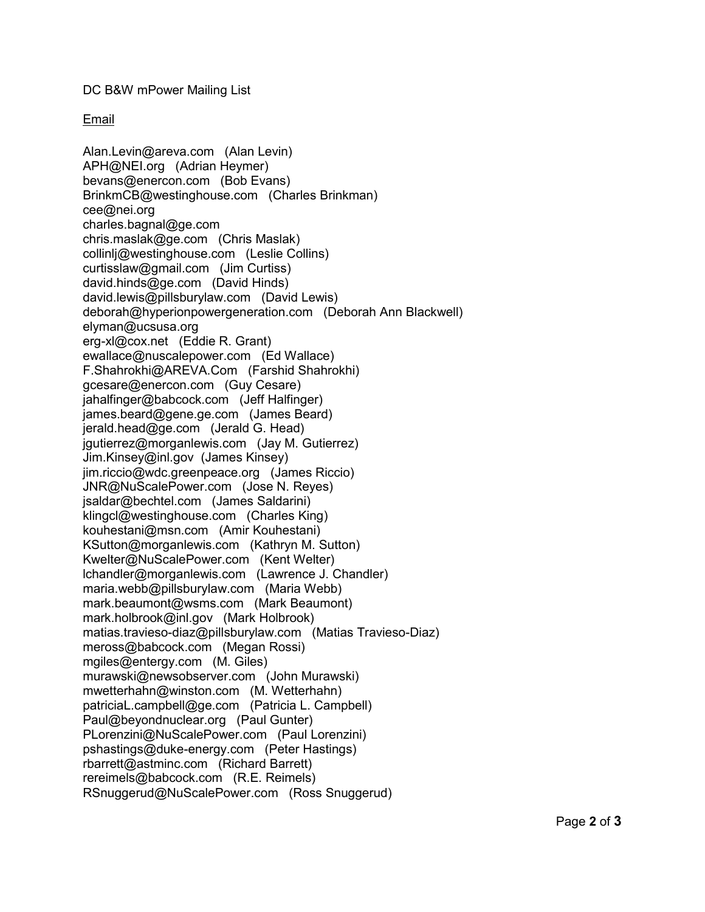DC B&W mPower Mailing List

# Email

Alan.Levin@areva.com (Alan Levin) APH@NEI.org (Adrian Heymer) bevans@enercon.com (Bob Evans) BrinkmCB@westinghouse.com (Charles Brinkman) cee@nei.org charles.bagnal@ge.com chris.maslak@ge.com (Chris Maslak) collinlj@westinghouse.com (Leslie Collins) curtisslaw@gmail.com (Jim Curtiss) david.hinds@ge.com (David Hinds) david.lewis@pillsburylaw.com (David Lewis) deborah@hyperionpowergeneration.com (Deborah Ann Blackwell) elyman@ucsusa.org erg-xl@cox.net (Eddie R. Grant) ewallace@nuscalepower.com (Ed Wallace) F.Shahrokhi@AREVA.Com (Farshid Shahrokhi) gcesare@enercon.com (Guy Cesare) jahalfinger@babcock.com (Jeff Halfinger) james.beard@gene.ge.com (James Beard) jerald.head@ge.com (Jerald G. Head) jgutierrez@morganlewis.com (Jay M. Gutierrez) Jim.Kinsey@inl.gov (James Kinsey) jim.riccio@wdc.greenpeace.org (James Riccio) JNR@NuScalePower.com (Jose N. Reyes) jsaldar@bechtel.com (James Saldarini) klingcl@westinghouse.com (Charles King) kouhestani@msn.com (Amir Kouhestani) KSutton@morganlewis.com (Kathryn M. Sutton) Kwelter@NuScalePower.com (Kent Welter) lchandler@morganlewis.com (Lawrence J. Chandler) maria.webb@pillsburylaw.com (Maria Webb) mark.beaumont@wsms.com (Mark Beaumont) mark.holbrook@inl.gov (Mark Holbrook) matias.travieso-diaz@pillsburylaw.com (Matias Travieso-Diaz) meross@babcock.com (Megan Rossi) mgiles@entergy.com (M. Giles) murawski@newsobserver.com (John Murawski) mwetterhahn@winston.com (M. Wetterhahn) patriciaL.campbell@ge.com (Patricia L. Campbell) Paul@beyondnuclear.org (Paul Gunter) PLorenzini@NuScalePower.com (Paul Lorenzini) pshastings@duke-energy.com (Peter Hastings) rbarrett@astminc.com (Richard Barrett) rereimels@babcock.com (R.E. Reimels) RSnuggerud@NuScalePower.com (Ross Snuggerud)